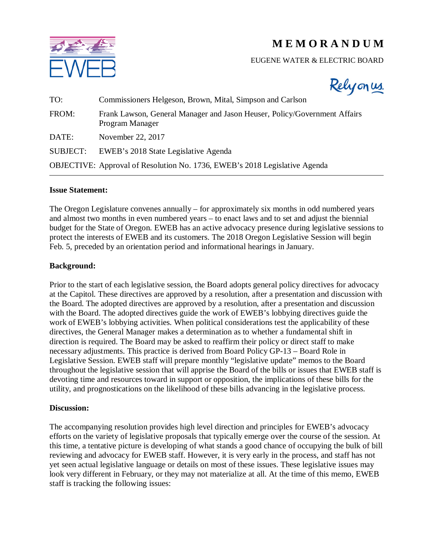# **M E M O R A N D U M**



## EUGENE WATER & ELECTRIC BOARD



| TO:             | Commissioners Helgeson, Brown, Mital, Simpson and Carlson                                    |
|-----------------|----------------------------------------------------------------------------------------------|
| FROM:           | Frank Lawson, General Manager and Jason Heuser, Policy/Government Affairs<br>Program Manager |
| DATE:           | November 22, 2017                                                                            |
| <b>SUBJECT:</b> | EWEB's 2018 State Legislative Agenda                                                         |
|                 | <b>OBJECTIVE:</b> Approval of Resolution No. 1736, EWEB's 2018 Legislative Agenda            |

#### **Issue Statement:**

The Oregon Legislature convenes annually – for approximately six months in odd numbered years and almost two months in even numbered years – to enact laws and to set and adjust the biennial budget for the State of Oregon. EWEB has an active advocacy presence during legislative sessions to protect the interests of EWEB and its customers. The 2018 Oregon Legislative Session will begin Feb. 5, preceded by an orientation period and informational hearings in January.

#### **Background:**

Prior to the start of each legislative session, the Board adopts general policy directives for advocacy at the Capitol. These directives are approved by a resolution, after a presentation and discussion with the Board. The adopted directives are approved by a resolution, after a presentation and discussion with the Board. The adopted directives guide the work of EWEB's lobbying directives guide the work of EWEB's lobbying activities. When political considerations test the applicability of these directives, the General Manager makes a determination as to whether a fundamental shift in direction is required. The Board may be asked to reaffirm their policy or direct staff to make necessary adjustments. This practice is derived from Board Policy GP-13 – Board Role in Legislative Session. EWEB staff will prepare monthly "legislative update" memos to the Board throughout the legislative session that will apprise the Board of the bills or issues that EWEB staff is devoting time and resources toward in support or opposition, the implications of these bills for the utility, and prognostications on the likelihood of these bills advancing in the legislative process.

#### **Discussion:**

The accompanying resolution provides high level direction and principles for EWEB's advocacy efforts on the variety of legislative proposals that typically emerge over the course of the session. At this time, a tentative picture is developing of what stands a good chance of occupying the bulk of bill reviewing and advocacy for EWEB staff. However, it is very early in the process, and staff has not yet seen actual legislative language or details on most of these issues. These legislative issues may look very different in February, or they may not materialize at all. At the time of this memo, EWEB staff is tracking the following issues: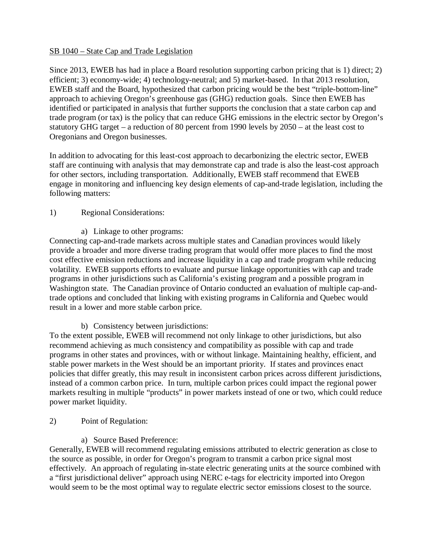## SB 1040 – State Cap and Trade Legislation

Since 2013, EWEB has had in place a Board resolution supporting carbon pricing that is 1) direct; 2) efficient; 3) economy-wide; 4) technology-neutral; and 5) market-based. In that 2013 resolution, EWEB staff and the Board, hypothesized that carbon pricing would be the best "triple-bottom-line" approach to achieving Oregon's greenhouse gas (GHG) reduction goals. Since then EWEB has identified or participated in analysis that further supports the conclusion that a state carbon cap and trade program (or tax) is the policy that can reduce GHG emissions in the electric sector by Oregon's statutory GHG target – a reduction of 80 percent from 1990 levels by 2050 – at the least cost to Oregonians and Oregon businesses.

In addition to advocating for this least-cost approach to decarbonizing the electric sector, EWEB staff are continuing with analysis that may demonstrate cap and trade is also the least-cost approach for other sectors, including transportation. Additionally, EWEB staff recommend that EWEB engage in monitoring and influencing key design elements of cap-and-trade legislation, including the following matters:

# 1) Regional Considerations:

a) Linkage to other programs:

Connecting cap-and-trade markets across multiple states and Canadian provinces would likely provide a broader and more diverse trading program that would offer more places to find the most cost effective emission reductions and increase liquidity in a cap and trade program while reducing volatility. EWEB supports efforts to evaluate and pursue linkage opportunities with cap and trade programs in other jurisdictions such as California's existing program and a possible program in Washington state. The Canadian province of Ontario conducted an evaluation of multiple cap-andtrade options and concluded that linking with existing programs in California and Quebec would result in a lower and more stable carbon price.

b) Consistency between jurisdictions:

To the extent possible, EWEB will recommend not only linkage to other jurisdictions, but also recommend achieving as much consistency and compatibility as possible with cap and trade programs in other states and provinces, with or without linkage. Maintaining healthy, efficient, and stable power markets in the West should be an important priority. If states and provinces enact policies that differ greatly, this may result in inconsistent carbon prices across different jurisdictions, instead of a common carbon price. In turn, multiple carbon prices could impact the regional power markets resulting in multiple "products" in power markets instead of one or two, which could reduce power market liquidity.

- 2) Point of Regulation:
	- a) Source Based Preference:

Generally, EWEB will recommend regulating emissions attributed to electric generation as close to the source as possible, in order for Oregon's program to transmit a carbon price signal most effectively. An approach of regulating in-state electric generating units at the source combined with a "first jurisdictional deliver" approach using NERC e-tags for electricity imported into Oregon would seem to be the most optimal way to regulate electric sector emissions closest to the source.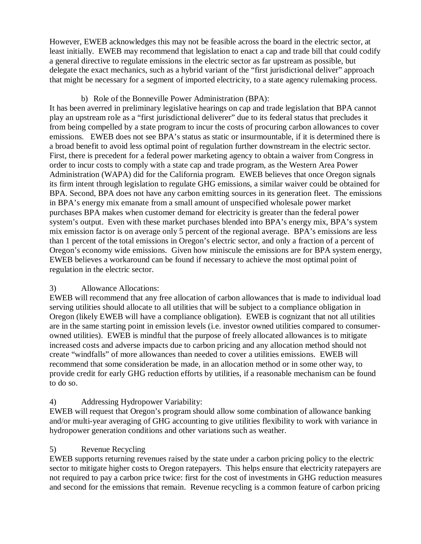However, EWEB acknowledges this may not be feasible across the board in the electric sector, at least initially. EWEB may recommend that legislation to enact a cap and trade bill that could codify a general directive to regulate emissions in the electric sector as far upstream as possible, but delegate the exact mechanics, such as a hybrid variant of the "first jurisdictional deliver" approach that might be necessary for a segment of imported electricity, to a state agency rulemaking process.

# b) Role of the Bonneville Power Administration (BPA):

It has been averred in preliminary legislative hearings on cap and trade legislation that BPA cannot play an upstream role as a "first jurisdictional deliverer" due to its federal status that precludes it from being compelled by a state program to incur the costs of procuring carbon allowances to cover emissions. EWEB does not see BPA's status as static or insurmountable, if it is determined there is a broad benefit to avoid less optimal point of regulation further downstream in the electric sector. First, there is precedent for a federal power marketing agency to obtain a waiver from Congress in order to incur costs to comply with a state cap and trade program, as the Western Area Power Administration (WAPA) did for the California program. EWEB believes that once Oregon signals its firm intent through legislation to regulate GHG emissions, a similar waiver could be obtained for BPA. Second, BPA does not have any carbon emitting sources in its generation fleet. The emissions in BPA's energy mix emanate from a small amount of unspecified wholesale power market purchases BPA makes when customer demand for electricity is greater than the federal power system's output. Even with these market purchases blended into BPA's energy mix, BPA's system mix emission factor is on average only 5 percent of the regional average. BPA's emissions are less than 1 percent of the total emissions in Oregon's electric sector, and only a fraction of a percent of Oregon's economy wide emissions. Given how miniscule the emissions are for BPA system energy, EWEB believes a workaround can be found if necessary to achieve the most optimal point of regulation in the electric sector.

# 3) Allowance Allocations:

EWEB will recommend that any free allocation of carbon allowances that is made to individual load serving utilities should allocate to all utilities that will be subject to a compliance obligation in Oregon (likely EWEB will have a compliance obligation). EWEB is cognizant that not all utilities are in the same starting point in emission levels (i.e. investor owned utilities compared to consumerowned utilities). EWEB is mindful that the purpose of freely allocated allowances is to mitigate increased costs and adverse impacts due to carbon pricing and any allocation method should not create "windfalls" of more allowances than needed to cover a utilities emissions. EWEB will recommend that some consideration be made, in an allocation method or in some other way, to provide credit for early GHG reduction efforts by utilities, if a reasonable mechanism can be found to do so.

# 4) Addressing Hydropower Variability:

EWEB will request that Oregon's program should allow some combination of allowance banking and/or multi-year averaging of GHG accounting to give utilities flexibility to work with variance in hydropower generation conditions and other variations such as weather.

# 5) Revenue Recycling

EWEB supports returning revenues raised by the state under a carbon pricing policy to the electric sector to mitigate higher costs to Oregon ratepayers. This helps ensure that electricity ratepayers are not required to pay a carbon price twice: first for the cost of investments in GHG reduction measures and second for the emissions that remain. Revenue recycling is a common feature of carbon pricing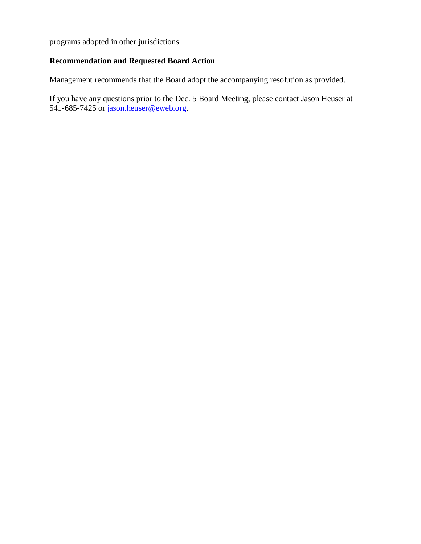programs adopted in other jurisdictions.

## **Recommendation and Requested Board Action**

Management recommends that the Board adopt the accompanying resolution as provided.

If you have any questions prior to the Dec. 5 Board Meeting, please contact Jason Heuser at 541-685-7425 or [jason.heuser@eweb.org.](mailto:jason.heuser@eweb.org)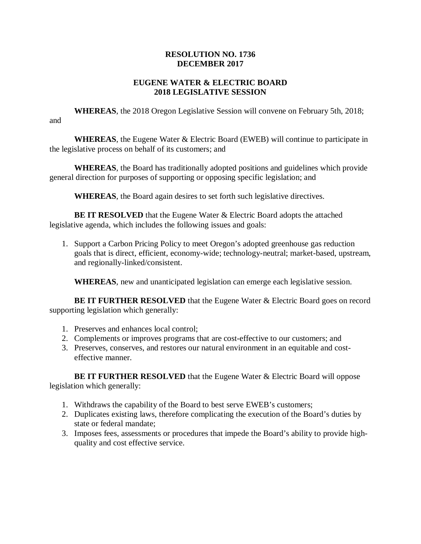# **RESOLUTION NO. 1736 DECEMBER 2017**

## **EUGENE WATER & ELECTRIC BOARD 2018 LEGISLATIVE SESSION**

**WHEREAS**, the 2018 Oregon Legislative Session will convene on February 5th, 2018; and

**WHEREAS**, the Eugene Water & Electric Board (EWEB) will continue to participate in the legislative process on behalf of its customers; and

**WHEREAS**, the Board has traditionally adopted positions and guidelines which provide general direction for purposes of supporting or opposing specific legislation; and

**WHEREAS**, the Board again desires to set forth such legislative directives.

**BE IT RESOLVED** that the Eugene Water & Electric Board adopts the attached legislative agenda, which includes the following issues and goals:

1. Support a Carbon Pricing Policy to meet Oregon's adopted greenhouse gas reduction goals that is direct, efficient, economy-wide; technology-neutral; market-based, upstream, and regionally-linked/consistent.

**WHEREAS**, new and unanticipated legislation can emerge each legislative session.

**BE IT FURTHER RESOLVED** that the Eugene Water & Electric Board goes on record supporting legislation which generally:

- 1. Preserves and enhances local control;
- 2. Complements or improves programs that are cost-effective to our customers; and
- 3. Preserves, conserves, and restores our natural environment in an equitable and costeffective manner.

**BE IT FURTHER RESOLVED** that the Eugene Water & Electric Board will oppose legislation which generally:

- 1. Withdraws the capability of the Board to best serve EWEB's customers;
- 2. Duplicates existing laws, therefore complicating the execution of the Board's duties by state or federal mandate;
- 3. Imposes fees, assessments or procedures that impede the Board's ability to provide highquality and cost effective service.